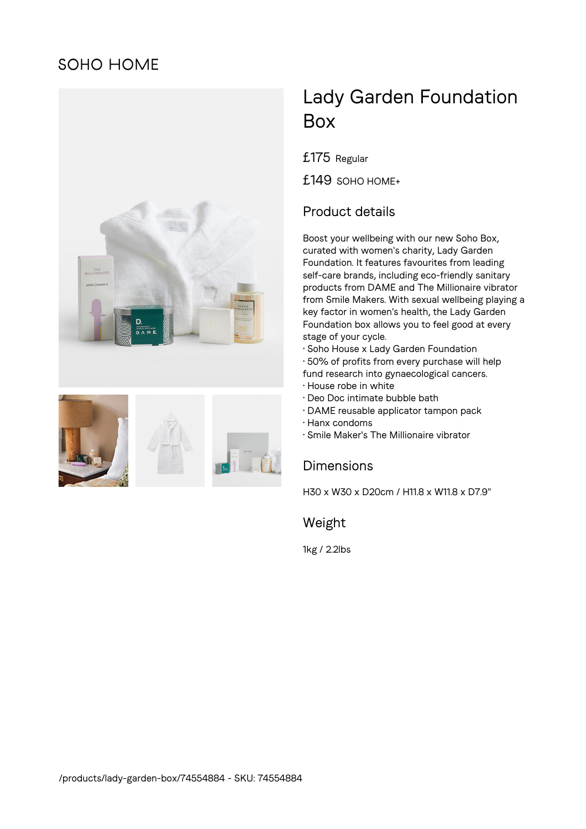# **SOHO HOME**





# Lady Garden Foundation Box

£175 Regular

£149 SOHO HOME+

## Product details

Boost your wellbeing with our new Soho Box, curated with women's charity, Lady Garden Foundation. It features favourites from leading self-care brands, including eco-friendly sanitary products from DAME and The Millionaire vibrator from Smile Makers. With sexual wellbeing playing a key factor in women's health, the Lady Garden Foundation box allows you to feel good at every stage of your cycle.

- Soho House x Lady Garden Foundation
- 50% of profits from every purchase will help
- fund research into gynaecological cancers. • House robe in white
- 
- Deo Doc intimate bubble bath
- DAME reusable applicator tampon pack
- Hanx condoms
- Smile Maker's The Millionaire vibrator

#### **Dimensions**

H30 x W30 x D20cm / H11.8 x W11.8 x D7.9"

#### Weight

1kg / 2.2lbs